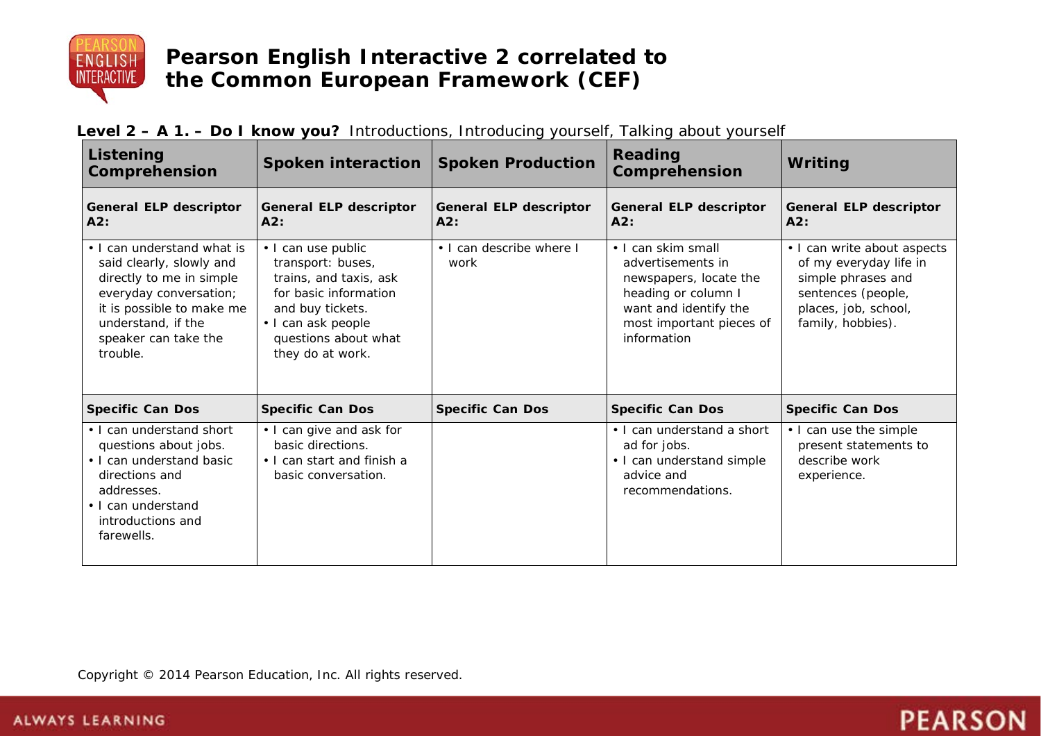

| Listening<br>Comprehension                                                                                                                                                                          | Spoken interaction                                                                                                                                                               | <b>Spoken Production</b>             | Reading<br>Comprehension                                                                                                                                     | Writing                                                                                                                                        |
|-----------------------------------------------------------------------------------------------------------------------------------------------------------------------------------------------------|----------------------------------------------------------------------------------------------------------------------------------------------------------------------------------|--------------------------------------|--------------------------------------------------------------------------------------------------------------------------------------------------------------|------------------------------------------------------------------------------------------------------------------------------------------------|
| <b>General ELP descriptor</b><br>A2:                                                                                                                                                                | <b>General ELP descriptor</b><br>A2:                                                                                                                                             | <b>General ELP descriptor</b><br>A2: | <b>General ELP descriptor</b><br>A2:                                                                                                                         | <b>General ELP descriptor</b><br>A2:                                                                                                           |
| • I can understand what is<br>said clearly, slowly and<br>directly to me in simple<br>everyday conversation;<br>it is possible to make me<br>understand, if the<br>speaker can take the<br>trouble. | • I can use public<br>transport: buses,<br>trains, and taxis, ask<br>for basic information<br>and buy tickets.<br>· I can ask people<br>questions about what<br>they do at work. | • I can describe where I<br>work     | • I can skim small<br>advertisements in<br>newspapers, locate the<br>heading or column I<br>want and identify the<br>most important pieces of<br>information | • I can write about aspects<br>of my everyday life in<br>simple phrases and<br>sentences (people,<br>places, job, school,<br>family, hobbies). |
| <b>Specific Can Dos</b>                                                                                                                                                                             | <b>Specific Can Dos</b>                                                                                                                                                          | <b>Specific Can Dos</b>              | <b>Specific Can Dos</b>                                                                                                                                      | <b>Specific Can Dos</b>                                                                                                                        |
| • I can understand short<br>questions about jobs.<br>• I can understand basic<br>directions and<br>addresses.<br>• I can understand<br>introductions and<br>farewells.                              | • I can give and ask for<br>basic directions.<br>• I can start and finish a<br>basic conversation.                                                                               |                                      | • I can understand a short<br>ad for jobs.<br>• I can understand simple<br>advice and<br>recommendations.                                                    | • I can use the simple<br>present statements to<br>describe work<br>experience.                                                                |

**PEARSON** 

## **Level 2 – A 1. – Do I know you?** Introductions, Introducing yourself, Talking about yourself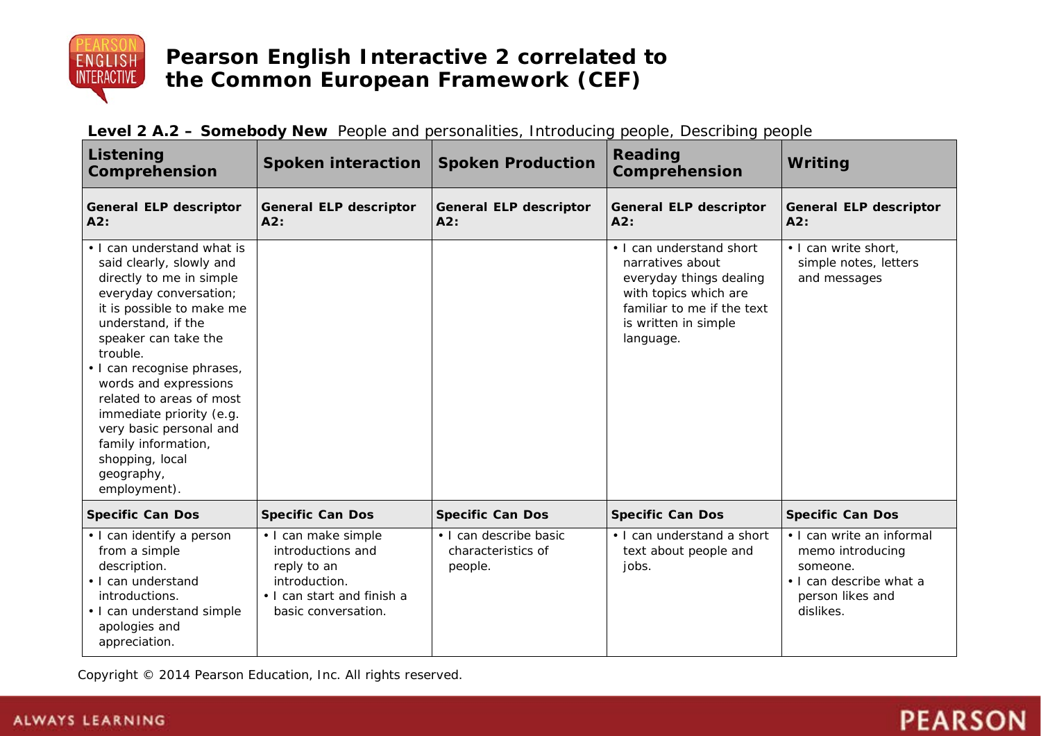

| Listening<br>Comprehension                                                                                                                                                                                                                                                                                                                                                                                            | <b>Spoken interaction</b>                                                                                                     | <b>Spoken Production</b>                                | <b>Reading</b><br>Comprehension                                                                                                                                     | Writing                                                                                                               |
|-----------------------------------------------------------------------------------------------------------------------------------------------------------------------------------------------------------------------------------------------------------------------------------------------------------------------------------------------------------------------------------------------------------------------|-------------------------------------------------------------------------------------------------------------------------------|---------------------------------------------------------|---------------------------------------------------------------------------------------------------------------------------------------------------------------------|-----------------------------------------------------------------------------------------------------------------------|
| <b>General ELP descriptor</b><br>A2:                                                                                                                                                                                                                                                                                                                                                                                  | <b>General ELP descriptor</b><br>A2:                                                                                          | <b>General ELP descriptor</b><br>A2:                    | <b>General ELP descriptor</b><br>A2:                                                                                                                                | <b>General ELP descriptor</b><br>A2:                                                                                  |
| • I can understand what is<br>said clearly, slowly and<br>directly to me in simple<br>everyday conversation;<br>it is possible to make me<br>understand, if the<br>speaker can take the<br>trouble.<br>· I can recognise phrases,<br>words and expressions<br>related to areas of most<br>immediate priority (e.g.<br>very basic personal and<br>family information,<br>shopping, local<br>geography,<br>employment). |                                                                                                                               |                                                         | • I can understand short<br>narratives about<br>everyday things dealing<br>with topics which are<br>familiar to me if the text<br>is written in simple<br>language. | . I can write short,<br>simple notes, letters<br>and messages                                                         |
| <b>Specific Can Dos</b>                                                                                                                                                                                                                                                                                                                                                                                               | <b>Specific Can Dos</b>                                                                                                       | <b>Specific Can Dos</b>                                 | <b>Specific Can Dos</b>                                                                                                                                             | <b>Specific Can Dos</b>                                                                                               |
| • I can identify a person<br>from a simple<br>description.<br>• I can understand<br>introductions.<br>• I can understand simple<br>apologies and<br>appreciation.                                                                                                                                                                                                                                                     | • I can make simple<br>introductions and<br>reply to an<br>introduction.<br>• I can start and finish a<br>basic conversation. | · I can describe basic<br>characteristics of<br>people. | • I can understand a short<br>text about people and<br>jobs.                                                                                                        | • I can write an informal<br>memo introducing<br>someone.<br>• I can describe what a<br>person likes and<br>dislikes. |

| Level 2 A.2 - Somebody New People and personalities, Introducing people, Describing people |  |  |  |
|--------------------------------------------------------------------------------------------|--|--|--|
|--------------------------------------------------------------------------------------------|--|--|--|

Copyright © 2014 Pearson Education, Inc. All rights reserved.

# **PEARSON**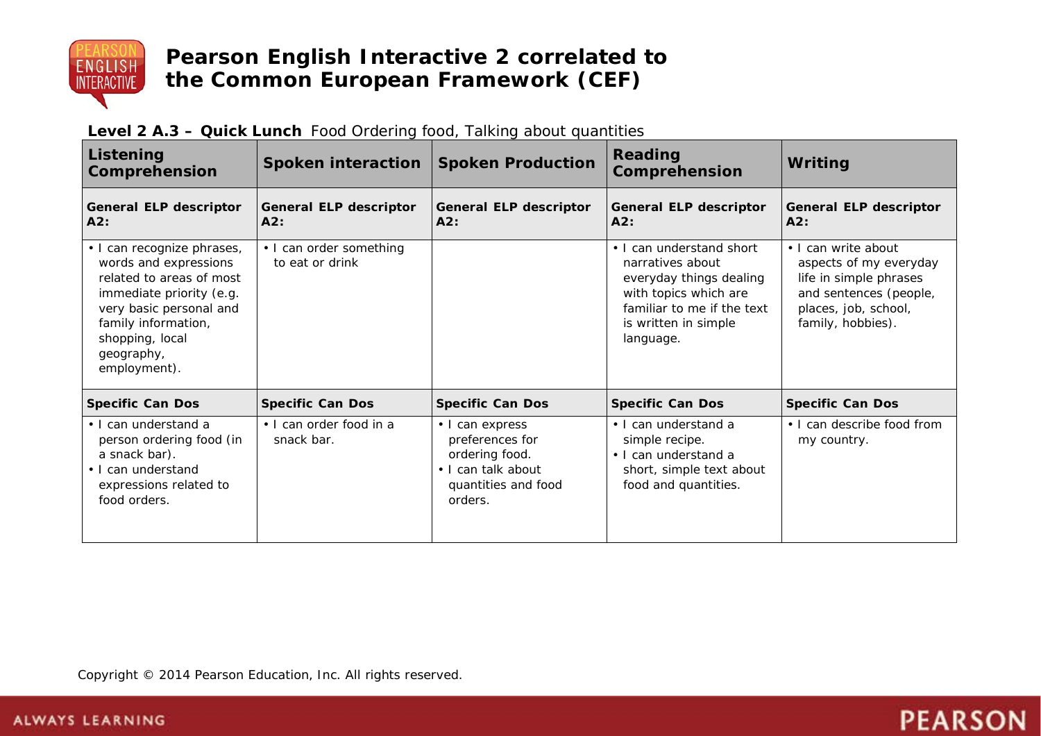

| Listening<br>Comprehension                                                                                                                                                                                     | Spoken interaction                         | <b>Spoken Production</b>                                                                                     | Reading<br>Comprehension                                                                                                                                            | Writing                                                                                                                                        |
|----------------------------------------------------------------------------------------------------------------------------------------------------------------------------------------------------------------|--------------------------------------------|--------------------------------------------------------------------------------------------------------------|---------------------------------------------------------------------------------------------------------------------------------------------------------------------|------------------------------------------------------------------------------------------------------------------------------------------------|
| <b>General ELP descriptor</b><br>A2:                                                                                                                                                                           | <b>General ELP descriptor</b><br>A2:       | <b>General ELP descriptor</b><br>A2:                                                                         | General ELP descriptor<br>A2:                                                                                                                                       | General ELP descriptor<br>A2:                                                                                                                  |
| · I can recognize phrases,<br>words and expressions<br>related to areas of most<br>immediate priority (e.g.<br>very basic personal and<br>family information,<br>shopping, local<br>geography,<br>employment). | • I can order something<br>to eat or drink |                                                                                                              | • I can understand short<br>narratives about<br>everyday things dealing<br>with topics which are<br>familiar to me if the text<br>is written in simple<br>language. | • I can write about<br>aspects of my everyday<br>life in simple phrases<br>and sentences (people,<br>places, job, school,<br>family, hobbies). |
| <b>Specific Can Dos</b>                                                                                                                                                                                        | <b>Specific Can Dos</b>                    | <b>Specific Can Dos</b>                                                                                      | <b>Specific Can Dos</b>                                                                                                                                             | <b>Specific Can Dos</b>                                                                                                                        |
| • I can understand a<br>person ordering food (in<br>a snack bar).<br>• I can understand<br>expressions related to<br>food orders.                                                                              | • I can order food in a<br>snack bar.      | • I can express<br>preferences for<br>ordering food.<br>• I can talk about<br>quantities and food<br>orders. | • I can understand a<br>simple recipe.<br>• I can understand a<br>short, simple text about<br>food and quantities.                                                  | • I can describe food from<br>my country.                                                                                                      |

**PEARSON** 

| Level 2 A.3 - Quick Lunch Food Ordering food, Talking about quantities |  |
|------------------------------------------------------------------------|--|
|------------------------------------------------------------------------|--|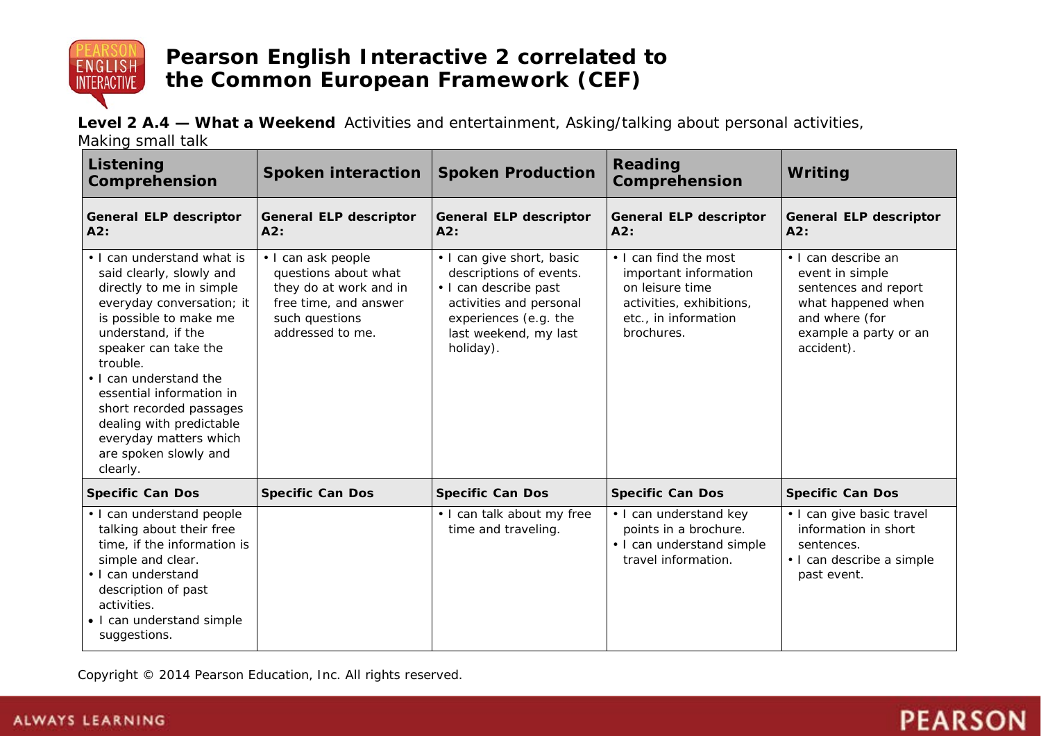

**Level 2 A.4 — What a Weekend** Activities and entertainment, Asking/talking about personal activities,

Making small talk

| Listening<br>Comprehension                                                                                                                                                                                                                                                                                                                                                      | <b>Spoken interaction</b>                                                                                                           | <b>Spoken Production</b>                                                                                                                                                | Reading<br>Comprehension                                                                                                            | Writing                                                                                                                                       |
|---------------------------------------------------------------------------------------------------------------------------------------------------------------------------------------------------------------------------------------------------------------------------------------------------------------------------------------------------------------------------------|-------------------------------------------------------------------------------------------------------------------------------------|-------------------------------------------------------------------------------------------------------------------------------------------------------------------------|-------------------------------------------------------------------------------------------------------------------------------------|-----------------------------------------------------------------------------------------------------------------------------------------------|
| <b>General ELP descriptor</b><br>A2:                                                                                                                                                                                                                                                                                                                                            | <b>General ELP descriptor</b><br>A2:                                                                                                | <b>General ELP descriptor</b><br>A2:                                                                                                                                    | <b>General ELP descriptor</b><br>A2:                                                                                                | <b>General ELP descriptor</b><br>A2:                                                                                                          |
| • I can understand what is<br>said clearly, slowly and<br>directly to me in simple<br>everyday conversation; it<br>is possible to make me<br>understand, if the<br>speaker can take the<br>trouble.<br>. I can understand the<br>essential information in<br>short recorded passages<br>dealing with predictable<br>everyday matters which<br>are spoken slowly and<br>clearly. | • I can ask people<br>questions about what<br>they do at work and in<br>free time, and answer<br>such questions<br>addressed to me. | • I can give short, basic<br>descriptions of events.<br>• I can describe past<br>activities and personal<br>experiences (e.g. the<br>last weekend, my last<br>holiday). | • I can find the most<br>important information<br>on leisure time<br>activities, exhibitions,<br>etc., in information<br>brochures. | • I can describe an<br>event in simple<br>sentences and report<br>what happened when<br>and where (for<br>example a party or an<br>accident). |
| <b>Specific Can Dos</b>                                                                                                                                                                                                                                                                                                                                                         | <b>Specific Can Dos</b>                                                                                                             | <b>Specific Can Dos</b>                                                                                                                                                 | <b>Specific Can Dos</b>                                                                                                             | <b>Specific Can Dos</b>                                                                                                                       |
| • I can understand people<br>talking about their free<br>time, if the information is<br>simple and clear.<br>• I can understand<br>description of past<br>activities.<br>• I can understand simple<br>suggestions.                                                                                                                                                              |                                                                                                                                     | . I can talk about my free<br>time and traveling.                                                                                                                       | • I can understand key<br>points in a brochure.<br>• I can understand simple<br>travel information.                                 | • I can give basic travel<br>information in short<br>sentences.<br>· I can describe a simple<br>past event.                                   |

**PEARSON**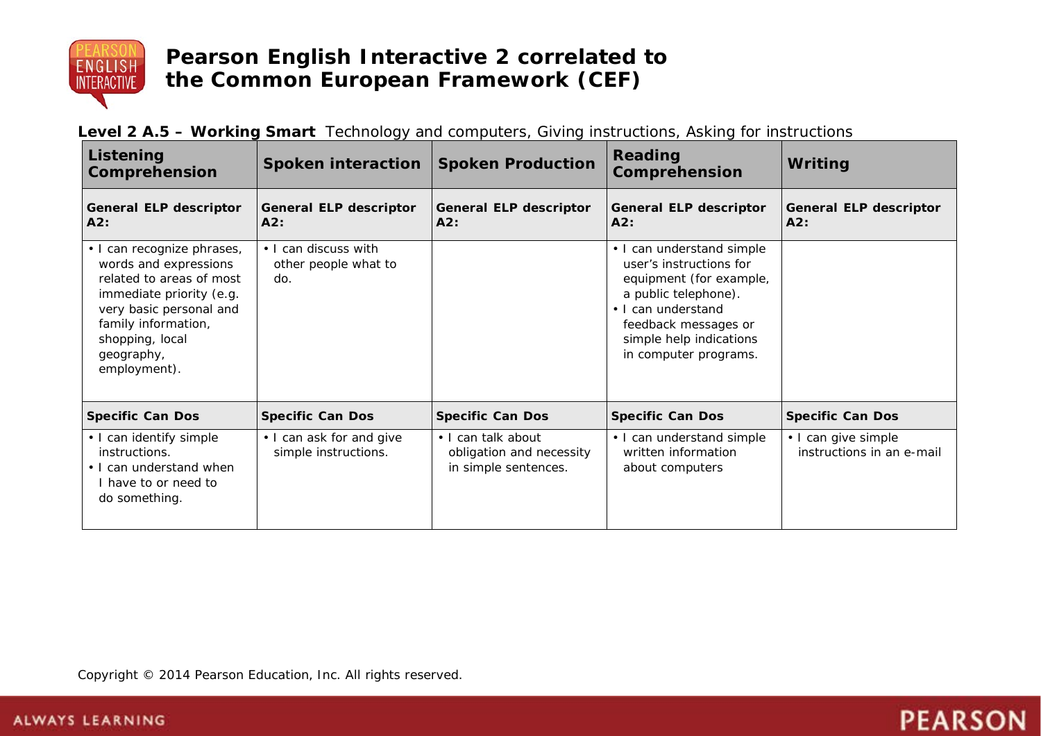

| Level 2 A.5 - Working Smart Technology and computers, Giving instructions, Asking for instructions |  |  |
|----------------------------------------------------------------------------------------------------|--|--|
|----------------------------------------------------------------------------------------------------|--|--|

| Listening<br><b>Comprehension</b>                                                                                                                                                                              | Spoken interaction   Spoken Production              |                                                                        | <b>Reading</b><br>Comprehension                                                                                                                                                                           | Writing                                          |
|----------------------------------------------------------------------------------------------------------------------------------------------------------------------------------------------------------------|-----------------------------------------------------|------------------------------------------------------------------------|-----------------------------------------------------------------------------------------------------------------------------------------------------------------------------------------------------------|--------------------------------------------------|
| <b>General ELP descriptor</b><br>A2:                                                                                                                                                                           | <b>General ELP descriptor</b><br>A2:                | <b>General ELP descriptor</b><br>A2:                                   | General ELP descriptor<br>A2:                                                                                                                                                                             | <b>General ELP descriptor</b><br>A2:             |
| · I can recognize phrases,<br>words and expressions<br>related to areas of most<br>immediate priority (e.g.<br>very basic personal and<br>family information,<br>shopping, local<br>geography,<br>employment). | • I can discuss with<br>other people what to<br>do. |                                                                        | • I can understand simple<br>user's instructions for<br>equipment (for example,<br>a public telephone).<br>• I can understand<br>feedback messages or<br>simple help indications<br>in computer programs. |                                                  |
| <b>Specific Can Dos</b>                                                                                                                                                                                        | <b>Specific Can Dos</b>                             | <b>Specific Can Dos</b>                                                | <b>Specific Can Dos</b>                                                                                                                                                                                   | <b>Specific Can Dos</b>                          |
| • I can identify simple<br>instructions.<br>• I can understand when<br>I have to or need to<br>do something.                                                                                                   | • I can ask for and give<br>simple instructions.    | • I can talk about<br>obligation and necessity<br>in simple sentences. | • I can understand simple<br>written information<br>about computers                                                                                                                                       | • I can give simple<br>instructions in an e-mail |

**PEARSON**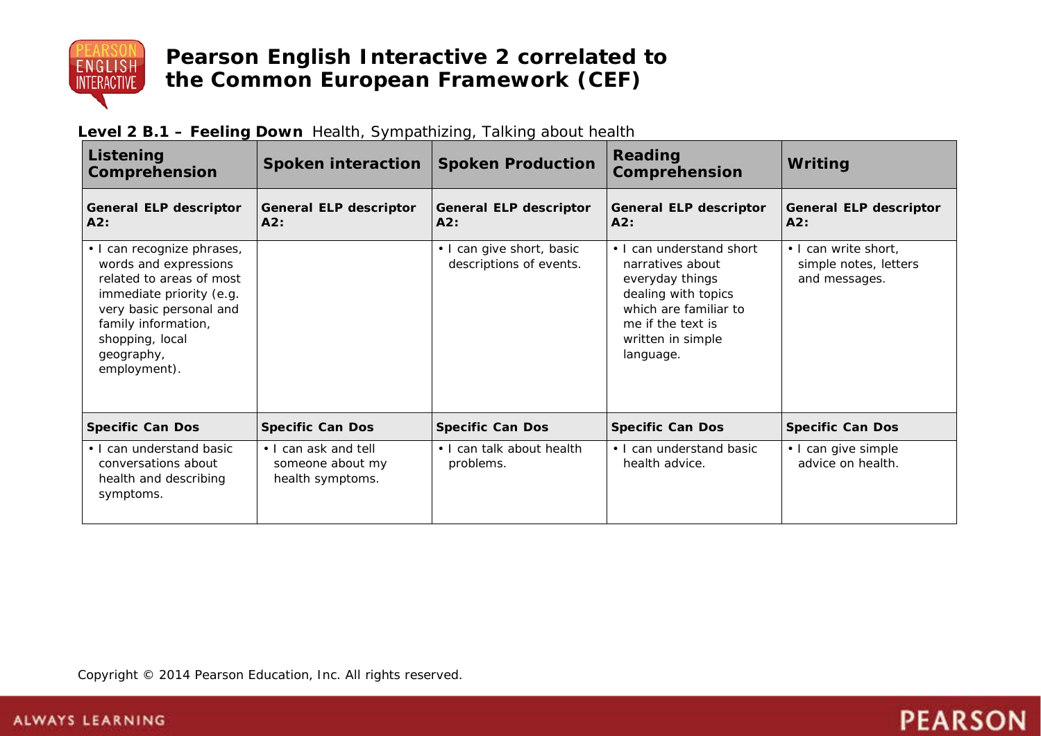

| Level 2 B.1 - Feeling Down Health, Sympathizing, Talking about health |  |  |  |
|-----------------------------------------------------------------------|--|--|--|
|-----------------------------------------------------------------------|--|--|--|

| Listening<br><b>Comprehension</b>                                                                                                                                                                              | Spoken interaction                                           | <b>Spoken Production</b>                             | Reading<br>Comprehension                                                                                                                                               | <b>Writing</b>                                                 |
|----------------------------------------------------------------------------------------------------------------------------------------------------------------------------------------------------------------|--------------------------------------------------------------|------------------------------------------------------|------------------------------------------------------------------------------------------------------------------------------------------------------------------------|----------------------------------------------------------------|
| <b>General ELP descriptor</b><br>A2:                                                                                                                                                                           | <b>General ELP descriptor</b><br>A2:                         | <b>General ELP descriptor</b><br>A2:                 | <b>General ELP descriptor</b><br>A2:                                                                                                                                   | <b>General ELP descriptor</b><br>A2:                           |
| • I can recognize phrases,<br>words and expressions<br>related to areas of most<br>immediate priority (e.g.<br>very basic personal and<br>family information,<br>shopping, local<br>geography,<br>employment). |                                                              | • I can give short, basic<br>descriptions of events. | • I can understand short<br>narratives about<br>everyday things<br>dealing with topics<br>which are familiar to<br>me if the text is<br>written in simple<br>language. | • I can write short,<br>simple notes, letters<br>and messages. |
| <b>Specific Can Dos</b>                                                                                                                                                                                        | <b>Specific Can Dos</b>                                      | <b>Specific Can Dos</b>                              | <b>Specific Can Dos</b>                                                                                                                                                | <b>Specific Can Dos</b>                                        |
| • I can understand basic<br>conversations about<br>health and describing<br>symptoms.                                                                                                                          | • I can ask and tell<br>someone about my<br>health symptoms. | • I can talk about health<br>problems.               | • I can understand basic<br>health advice.                                                                                                                             | • I can give simple<br>advice on health.                       |

**PEARSON**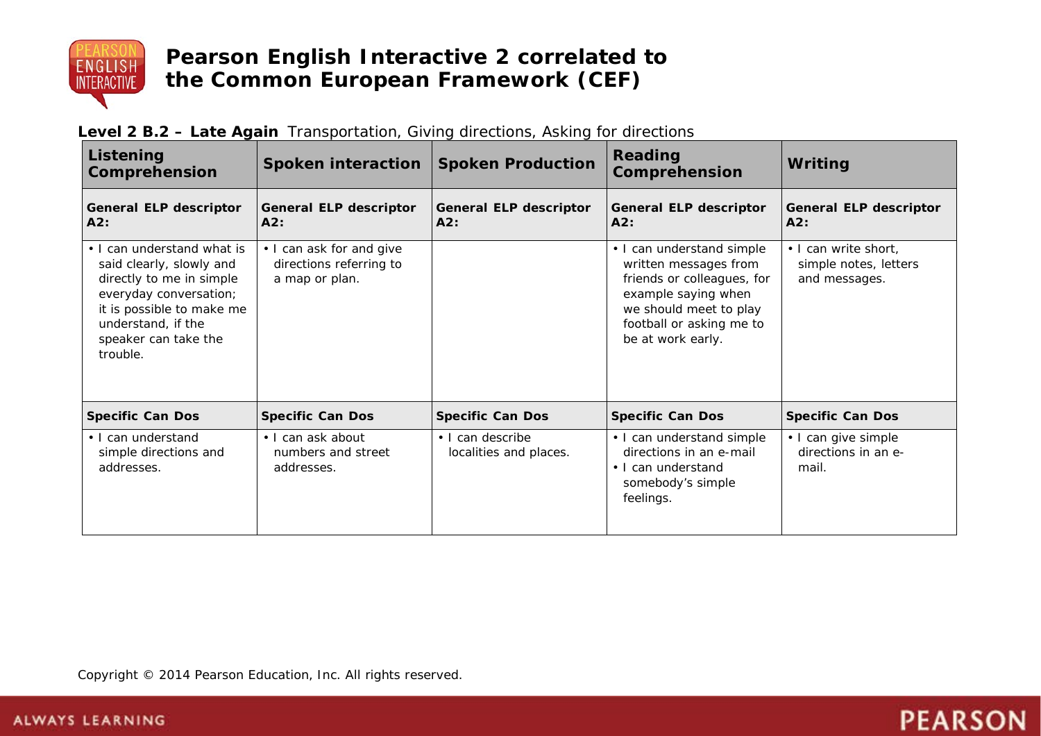

| Listening<br>Comprehension                                                                                                                                                                          | <b>Spoken interaction</b>                                             | <b>Spoken Production</b>                   | Reading<br>Comprehension                                                                                                                                                           | Writing                                                        |
|-----------------------------------------------------------------------------------------------------------------------------------------------------------------------------------------------------|-----------------------------------------------------------------------|--------------------------------------------|------------------------------------------------------------------------------------------------------------------------------------------------------------------------------------|----------------------------------------------------------------|
| <b>General ELP descriptor</b><br>A2:                                                                                                                                                                | <b>General ELP descriptor</b><br>A2:                                  | <b>General ELP descriptor</b><br>A2:       | General ELP descriptor<br>A2:                                                                                                                                                      | <b>General ELP descriptor</b><br>A2:                           |
| • I can understand what is<br>said clearly, slowly and<br>directly to me in simple<br>everyday conversation;<br>it is possible to make me<br>understand, if the<br>speaker can take the<br>trouble. | • I can ask for and give<br>directions referring to<br>a map or plan. |                                            | • I can understand simple<br>written messages from<br>friends or colleagues, for<br>example saying when<br>we should meet to play<br>football or asking me to<br>be at work early. | • I can write short,<br>simple notes, letters<br>and messages. |
| <b>Specific Can Dos</b>                                                                                                                                                                             | <b>Specific Can Dos</b>                                               | <b>Specific Can Dos</b>                    | <b>Specific Can Dos</b>                                                                                                                                                            | <b>Specific Can Dos</b>                                        |
| • I can understand<br>simple directions and<br>addresses.                                                                                                                                           | • I can ask about<br>numbers and street<br>addresses.                 | • I can describe<br>localities and places. | • I can understand simple<br>directions in an e-mail<br>• I can understand<br>somebody's simple<br>feelings.                                                                       | • I can give simple<br>directions in an e-<br>mail.            |

**PEARSON** 

## **Level 2 B.2 – Late Again** Transportation, Giving directions, Asking for directions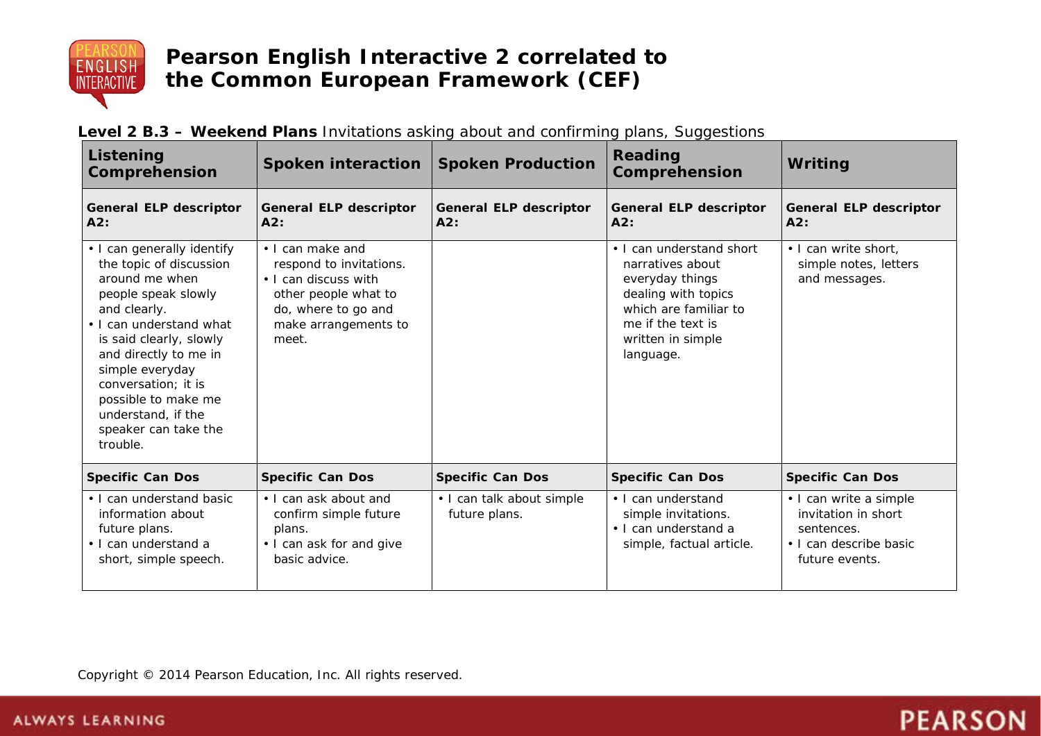

| Listening<br>Comprehension                                                                                                                                                                                                                                                                                               | Spoken interaction                                                                                                                                  | <b>Spoken Production</b>                   | Reading<br>Comprehension                                                                                                                                               | Writing                                                                                                 |
|--------------------------------------------------------------------------------------------------------------------------------------------------------------------------------------------------------------------------------------------------------------------------------------------------------------------------|-----------------------------------------------------------------------------------------------------------------------------------------------------|--------------------------------------------|------------------------------------------------------------------------------------------------------------------------------------------------------------------------|---------------------------------------------------------------------------------------------------------|
| <b>General ELP descriptor</b><br>A2:                                                                                                                                                                                                                                                                                     | <b>General ELP descriptor</b><br>A2:                                                                                                                | <b>General ELP descriptor</b><br>A2:       | General ELP descriptor<br>A2:                                                                                                                                          | <b>General ELP descriptor</b><br>A2:                                                                    |
| • I can generally identify<br>the topic of discussion<br>around me when<br>people speak slowly<br>and clearly.<br>• I can understand what<br>is said clearly, slowly<br>and directly to me in<br>simple everyday<br>conversation; it is<br>possible to make me<br>understand, if the<br>speaker can take the<br>trouble. | • I can make and<br>respond to invitations.<br>• I can discuss with<br>other people what to<br>do, where to go and<br>make arrangements to<br>meet. |                                            | • I can understand short<br>narratives about<br>everyday things<br>dealing with topics<br>which are familiar to<br>me if the text is<br>written in simple<br>language. | . I can write short,<br>simple notes, letters<br>and messages.                                          |
| <b>Specific Can Dos</b>                                                                                                                                                                                                                                                                                                  | <b>Specific Can Dos</b>                                                                                                                             | <b>Specific Can Dos</b>                    | <b>Specific Can Dos</b>                                                                                                                                                | <b>Specific Can Dos</b>                                                                                 |
| • I can understand basic<br>information about<br>future plans.<br>· I can understand a<br>short, simple speech.                                                                                                                                                                                                          | • I can ask about and<br>confirm simple future<br>plans.<br>• I can ask for and give<br>basic advice.                                               | • I can talk about simple<br>future plans. | • I can understand<br>simple invitations.<br>• I can understand a<br>simple, factual article.                                                                          | • I can write a simple<br>invitation in short<br>sentences.<br>• I can describe basic<br>future events. |

**PEARSON** 

## **Level 2 B.3 – Weekend Plans** Invitations asking about and confirming plans, Suggestions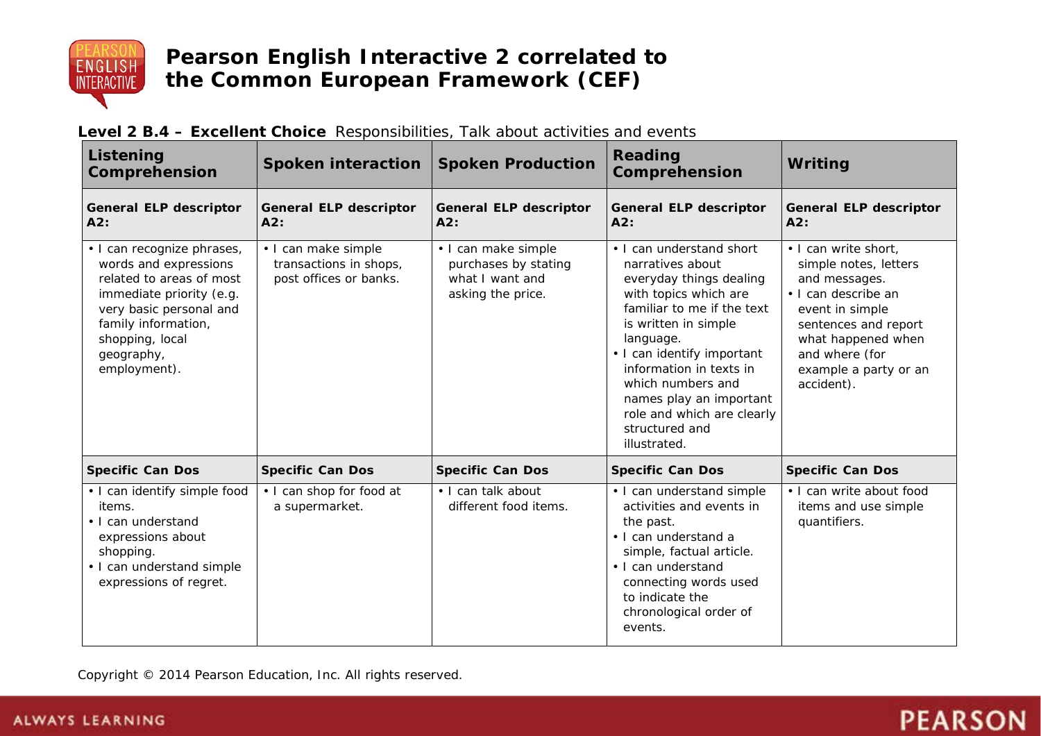

| Listening<br>Comprehension                                                                                                                                                                                     | Spoken interaction                                                      | <b>Spoken Production</b>                                                            | Reading<br>Comprehension                                                                                                                                                                                                                                                                                                                     | Writing                                                                                                                                                                                                         |
|----------------------------------------------------------------------------------------------------------------------------------------------------------------------------------------------------------------|-------------------------------------------------------------------------|-------------------------------------------------------------------------------------|----------------------------------------------------------------------------------------------------------------------------------------------------------------------------------------------------------------------------------------------------------------------------------------------------------------------------------------------|-----------------------------------------------------------------------------------------------------------------------------------------------------------------------------------------------------------------|
| <b>General ELP descriptor</b><br>A2:                                                                                                                                                                           | <b>General ELP descriptor</b><br>A2:                                    | <b>General ELP descriptor</b><br>A2:                                                | <b>General ELP descriptor</b><br>A2:                                                                                                                                                                                                                                                                                                         | <b>General ELP descriptor</b><br>A2:                                                                                                                                                                            |
| · I can recognize phrases,<br>words and expressions<br>related to areas of most<br>immediate priority (e.g.<br>very basic personal and<br>family information,<br>shopping, local<br>geography,<br>employment). | · I can make simple<br>transactions in shops,<br>post offices or banks. | · I can make simple<br>purchases by stating<br>what I want and<br>asking the price. | • I can understand short<br>narratives about<br>everyday things dealing<br>with topics which are<br>familiar to me if the text<br>is written in simple<br>language.<br>• I can identify important<br>information in texts in<br>which numbers and<br>names play an important<br>role and which are clearly<br>structured and<br>illustrated. | . I can write short,<br>simple notes, letters<br>and messages.<br>· I can describe an<br>event in simple<br>sentences and report<br>what happened when<br>and where (for<br>example a party or an<br>accident). |
| <b>Specific Can Dos</b>                                                                                                                                                                                        | <b>Specific Can Dos</b>                                                 | <b>Specific Can Dos</b>                                                             | <b>Specific Can Dos</b>                                                                                                                                                                                                                                                                                                                      | <b>Specific Can Dos</b>                                                                                                                                                                                         |
| • I can identify simple food<br>items.<br>• I can understand<br>expressions about<br>shopping.<br>• I can understand simple<br>expressions of regret.                                                          | • I can shop for food at<br>a supermarket.                              | • I can talk about<br>different food items.                                         | • I can understand simple<br>activities and events in<br>the past.<br>• I can understand a<br>simple, factual article.<br>• I can understand<br>connecting words used<br>to indicate the<br>chronological order of<br>events.                                                                                                                | • I can write about food<br>items and use simple<br>quantifiers.                                                                                                                                                |

#### **Level 2 B.4 – Excellent Choice** Responsibilities, Talk about activities and events

Copyright © 2014 Pearson Education, Inc. All rights reserved.

# **PEARSON**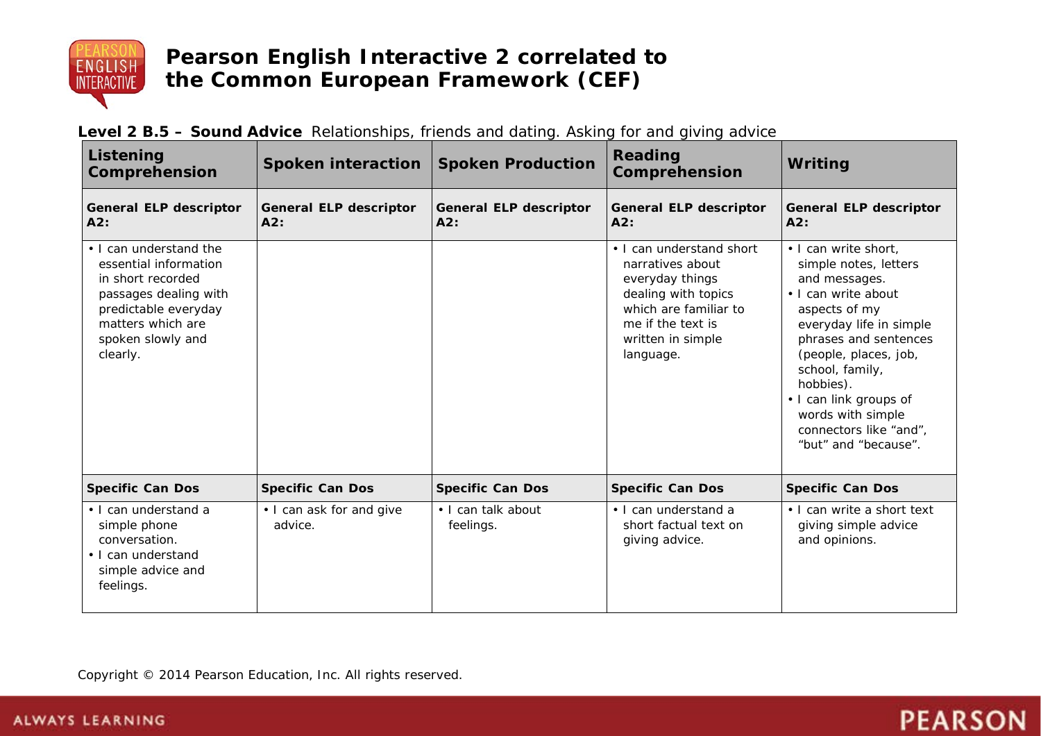

| Listening<br>Comprehension                                                                                                                                                  | <b>Spoken interaction</b>            | <b>Spoken Production</b>             | <b>Reading</b><br>Comprehension                                                                                                                                        | Writing                                                                                                                                                                                                                                                                                                              |
|-----------------------------------------------------------------------------------------------------------------------------------------------------------------------------|--------------------------------------|--------------------------------------|------------------------------------------------------------------------------------------------------------------------------------------------------------------------|----------------------------------------------------------------------------------------------------------------------------------------------------------------------------------------------------------------------------------------------------------------------------------------------------------------------|
| <b>General ELP descriptor</b><br>A2:                                                                                                                                        | <b>General ELP descriptor</b><br>A2: | <b>General ELP descriptor</b><br>A2: | <b>General ELP descriptor</b><br>A2:                                                                                                                                   | <b>General ELP descriptor</b><br>A2:                                                                                                                                                                                                                                                                                 |
| • I can understand the<br>essential information<br>in short recorded<br>passages dealing with<br>predictable everyday<br>matters which are<br>spoken slowly and<br>clearly. |                                      |                                      | • I can understand short<br>narratives about<br>everyday things<br>dealing with topics<br>which are familiar to<br>me if the text is<br>written in simple<br>language. | . I can write short,<br>simple notes, letters<br>and messages.<br>• I can write about<br>aspects of my<br>everyday life in simple<br>phrases and sentences<br>(people, places, job,<br>school, family,<br>hobbies).<br>• I can link groups of<br>words with simple<br>connectors like "and",<br>"but" and "because". |
| <b>Specific Can Dos</b>                                                                                                                                                     | <b>Specific Can Dos</b>              | <b>Specific Can Dos</b>              | <b>Specific Can Dos</b>                                                                                                                                                | <b>Specific Can Dos</b>                                                                                                                                                                                                                                                                                              |
| • I can understand a<br>simple phone<br>conversation.<br>• I can understand<br>simple advice and<br>feelings.                                                               | • I can ask for and give<br>advice.  | · I can talk about<br>feelings.      | • I can understand a<br>short factual text on<br>giving advice.                                                                                                        | • I can write a short text<br>giving simple advice<br>and opinions.                                                                                                                                                                                                                                                  |

## **Level 2 B.5 – Sound Advice** Relationships, friends and dating. Asking for and giving advice

Copyright © 2014 Pearson Education, Inc. All rights reserved.

# **PEARSON**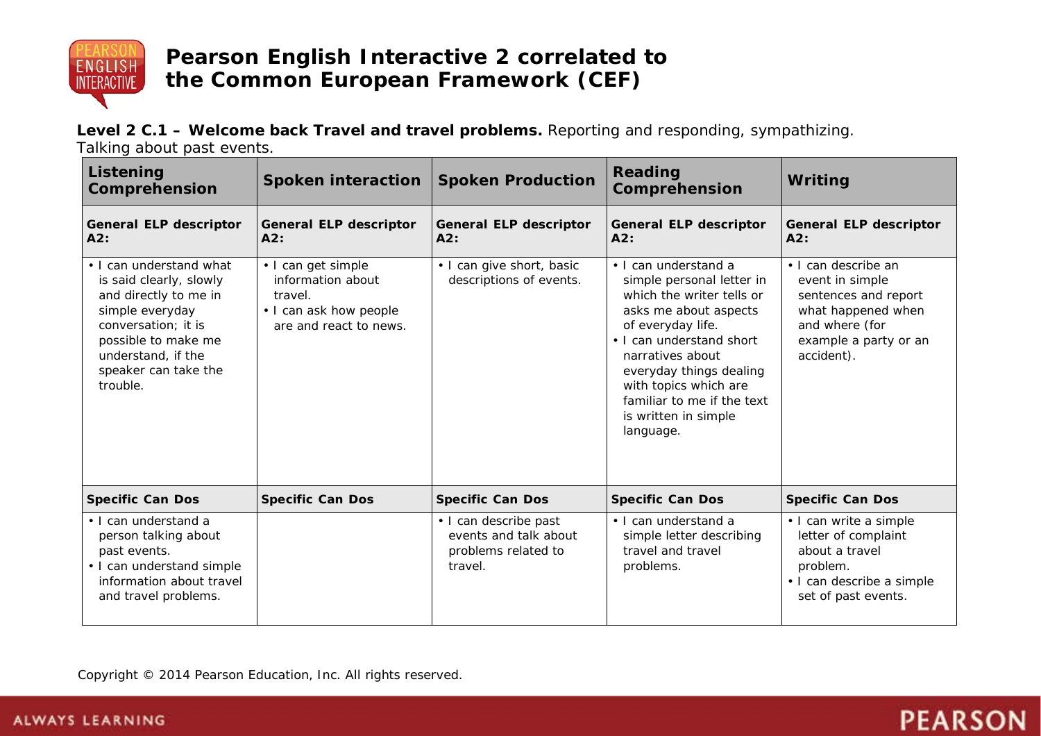

**Level 2 C.1 – Welcome back Travel and travel problems.** Reporting and responding, sympathizing. Talking about past events.

| Listening<br>Comprehension                                                                                                                                                                             | Spoken interaction                                                                                     | <b>Spoken Production</b>                                                         | Reading<br>Comprehension                                                                                                                                                                                                                                                                            | Writing                                                                                                                                       |
|--------------------------------------------------------------------------------------------------------------------------------------------------------------------------------------------------------|--------------------------------------------------------------------------------------------------------|----------------------------------------------------------------------------------|-----------------------------------------------------------------------------------------------------------------------------------------------------------------------------------------------------------------------------------------------------------------------------------------------------|-----------------------------------------------------------------------------------------------------------------------------------------------|
| <b>General ELP descriptor</b><br>A2:                                                                                                                                                                   | <b>General ELP descriptor</b><br>A2:                                                                   | <b>General ELP descriptor</b><br>A2:                                             | <b>General ELP descriptor</b><br>A2:                                                                                                                                                                                                                                                                | <b>General ELP descriptor</b><br>A2:                                                                                                          |
| • I can understand what<br>is said clearly, slowly<br>and directly to me in<br>simple everyday<br>conversation; it is<br>possible to make me<br>understand, if the<br>speaker can take the<br>trouble. | • I can get simple<br>information about<br>travel.<br>• I can ask how people<br>are and react to news. | • I can give short, basic<br>descriptions of events.                             | • I can understand a<br>simple personal letter in<br>which the writer tells or<br>asks me about aspects<br>of everyday life.<br>• I can understand short<br>narratives about<br>everyday things dealing<br>with topics which are<br>familiar to me if the text<br>is written in simple<br>language. | • I can describe an<br>event in simple<br>sentences and report<br>what happened when<br>and where (for<br>example a party or an<br>accident). |
| <b>Specific Can Dos</b>                                                                                                                                                                                | <b>Specific Can Dos</b>                                                                                | <b>Specific Can Dos</b>                                                          | <b>Specific Can Dos</b>                                                                                                                                                                                                                                                                             | <b>Specific Can Dos</b>                                                                                                                       |
| • I can understand a<br>person talking about<br>past events.<br>• I can understand simple<br>information about travel<br>and travel problems.                                                          |                                                                                                        | • I can describe past<br>events and talk about<br>problems related to<br>travel. | · I can understand a<br>simple letter describing<br>travel and travel<br>problems.                                                                                                                                                                                                                  | • I can write a simple<br>letter of complaint<br>about a travel<br>problem.<br>· I can describe a simple<br>set of past events.               |

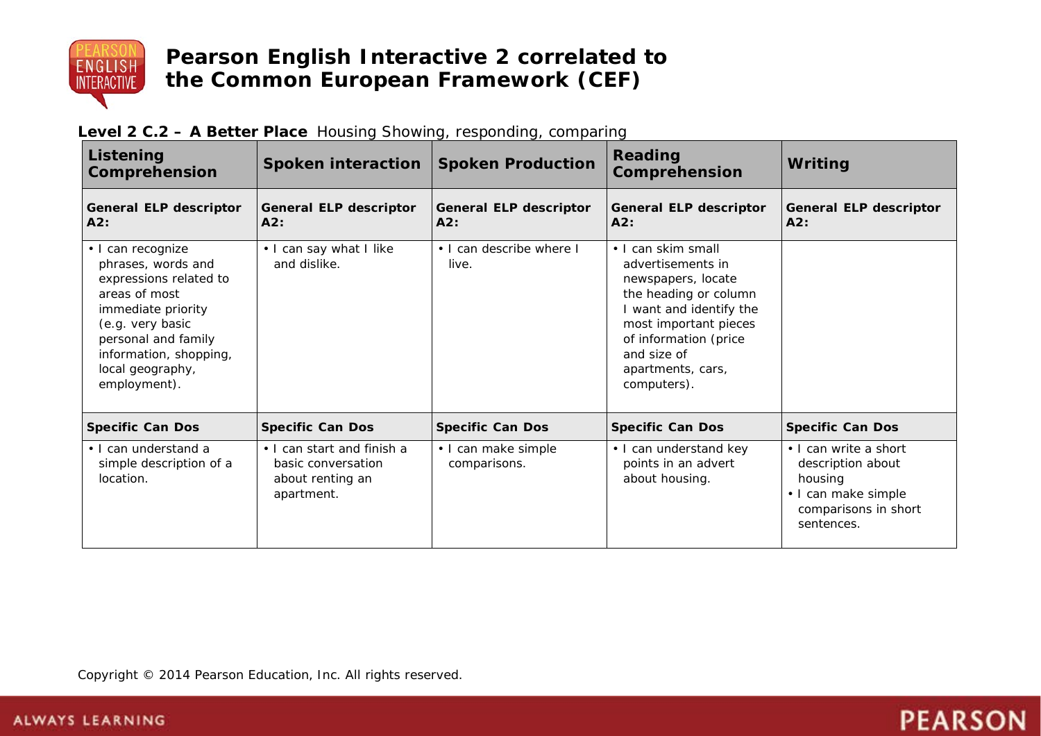

| Listening<br>Comprehension                                                                                                                                                                                        | <b>Spoken interaction</b>                                                          | <b>Spoken Production</b>             | Reading<br>Comprehension                                                                                                                                                                                               | Writing                                                                                                            |
|-------------------------------------------------------------------------------------------------------------------------------------------------------------------------------------------------------------------|------------------------------------------------------------------------------------|--------------------------------------|------------------------------------------------------------------------------------------------------------------------------------------------------------------------------------------------------------------------|--------------------------------------------------------------------------------------------------------------------|
| <b>General ELP descriptor</b><br>A2:                                                                                                                                                                              | <b>General ELP descriptor</b><br>A2:                                               | <b>General ELP descriptor</b><br>A2: | <b>General ELP descriptor</b><br>A2:                                                                                                                                                                                   | <b>General ELP descriptor</b><br>A2:                                                                               |
| · I can recognize<br>phrases, words and<br>expressions related to<br>areas of most<br>immediate priority<br>(e.g. very basic<br>personal and family<br>information, shopping,<br>local geography,<br>employment). | . I can say what I like<br>and dislike.                                            | • I can describe where I<br>live.    | • I can skim small<br>advertisements in<br>newspapers, locate<br>the heading or column<br>I want and identify the<br>most important pieces<br>of information (price<br>and size of<br>apartments, cars,<br>computers). |                                                                                                                    |
| <b>Specific Can Dos</b>                                                                                                                                                                                           | <b>Specific Can Dos</b>                                                            | <b>Specific Can Dos</b>              | <b>Specific Can Dos</b>                                                                                                                                                                                                | <b>Specific Can Dos</b>                                                                                            |
| • I can understand a<br>simple description of a<br>location.                                                                                                                                                      | • I can start and finish a<br>basic conversation<br>about renting an<br>apartment. | • I can make simple<br>comparisons.  | • I can understand key<br>points in an advert<br>about housing.                                                                                                                                                        | • I can write a short<br>description about<br>housing<br>• I can make simple<br>comparisons in short<br>sentences. |

**PEARSON** 

### **Level 2 C.2 – A Better Place** Housing Showing, responding, comparing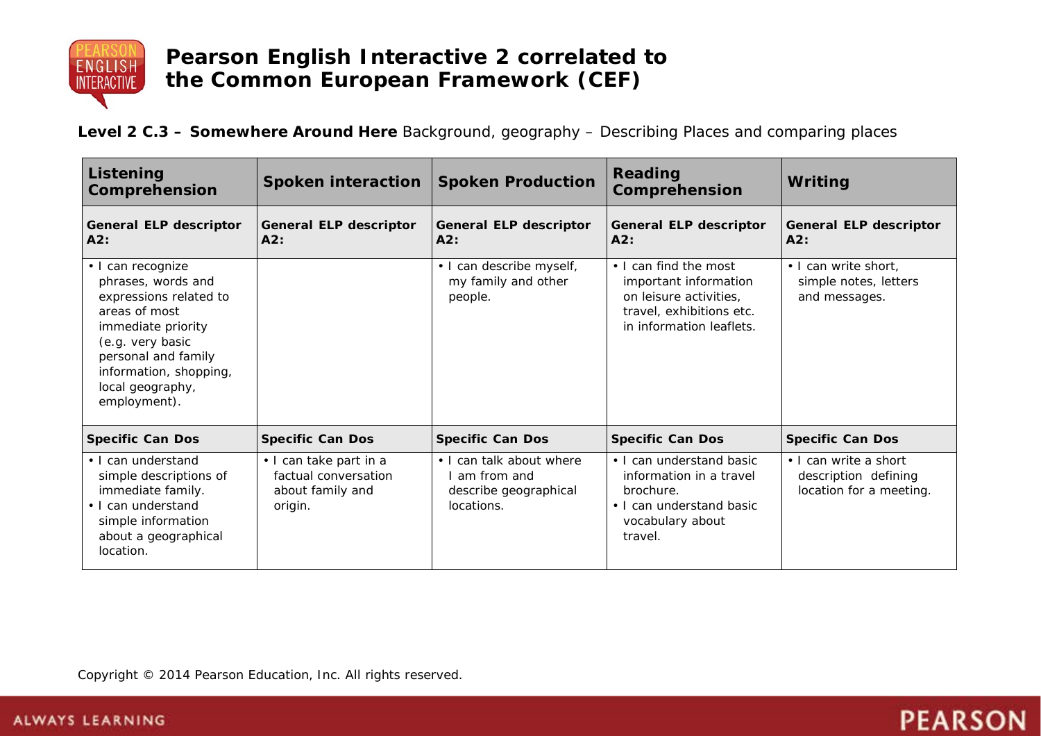

**Level 2 C.3 – Somewhere Around Here** Background, geography – Describing Places and comparing places

| Listening<br>Comprehension                                                                                                                                                                                        | <b>Spoken interaction</b>                                                     | <b>Spoken Production</b>                                                       | Reading<br>Comprehension                                                                                                         | Writing                                                                  |
|-------------------------------------------------------------------------------------------------------------------------------------------------------------------------------------------------------------------|-------------------------------------------------------------------------------|--------------------------------------------------------------------------------|----------------------------------------------------------------------------------------------------------------------------------|--------------------------------------------------------------------------|
| <b>General ELP descriptor</b><br>A2:                                                                                                                                                                              | <b>General ELP descriptor</b><br>A2:                                          | <b>General ELP descriptor</b><br>A2:                                           | <b>General ELP descriptor</b><br>A2:                                                                                             | <b>General ELP descriptor</b><br>A2:                                     |
| · I can recognize<br>phrases, words and<br>expressions related to<br>areas of most<br>immediate priority<br>(e.g. very basic<br>personal and family<br>information, shopping,<br>local geography,<br>employment). |                                                                               | · I can describe myself,<br>my family and other<br>people.                     | • I can find the most<br>important information<br>on leisure activities,<br>travel, exhibitions etc.<br>in information leaflets. | . I can write short,<br>simple notes, letters<br>and messages.           |
| <b>Specific Can Dos</b>                                                                                                                                                                                           | <b>Specific Can Dos</b>                                                       | <b>Specific Can Dos</b>                                                        | <b>Specific Can Dos</b>                                                                                                          | <b>Specific Can Dos</b>                                                  |
| • I can understand<br>simple descriptions of<br>immediate family.<br>• I can understand<br>simple information<br>about a geographical<br>location.                                                                | • I can take part in a<br>factual conversation<br>about family and<br>origin. | • I can talk about where<br>am from and<br>describe geographical<br>locations. | • I can understand basic<br>information in a travel<br>brochure.<br>• I can understand basic<br>vocabulary about<br>travel.      | • I can write a short<br>description defining<br>location for a meeting. |

**PEARSON**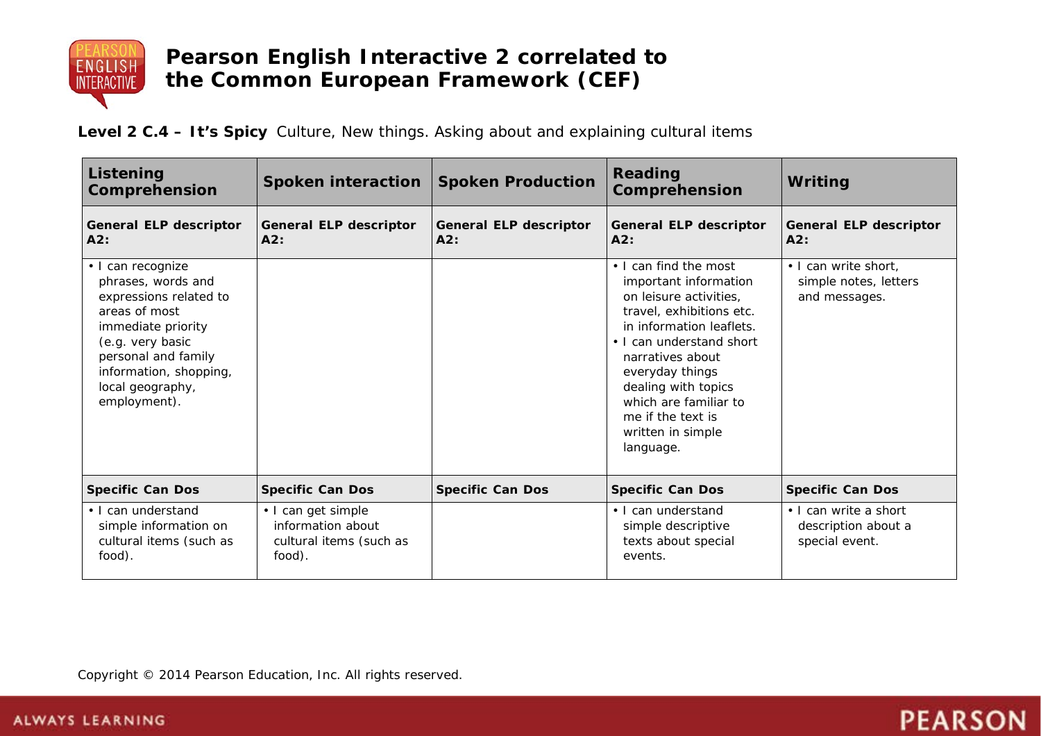

**Level 2 C.4 – It's Spicy** Culture, New things. Asking about and explaining cultural items

| Listening<br><b>Comprehension</b>                                                                                                                                                                                 | Spoken interaction   Spoken Production                                       |                                      | Reading<br><b>Comprehension</b>                                                                                                                                                                                                                                                                            | Writing                                                        |
|-------------------------------------------------------------------------------------------------------------------------------------------------------------------------------------------------------------------|------------------------------------------------------------------------------|--------------------------------------|------------------------------------------------------------------------------------------------------------------------------------------------------------------------------------------------------------------------------------------------------------------------------------------------------------|----------------------------------------------------------------|
| <b>General ELP descriptor</b><br>A2:                                                                                                                                                                              | General ELP descriptor<br>AA2:                                               | <b>General ELP descriptor</b><br>A2: | <b>General ELP descriptor</b><br>A2:                                                                                                                                                                                                                                                                       | <b>General ELP descriptor</b><br>A2:                           |
| · I can recognize<br>phrases, words and<br>expressions related to<br>areas of most<br>immediate priority<br>(e.g. very basic<br>personal and family<br>information, shopping,<br>local geography,<br>employment). |                                                                              |                                      | • I can find the most<br>important information<br>on leisure activities,<br>travel, exhibitions etc.<br>in information leaflets.<br>• I can understand short<br>narratives about<br>everyday things<br>dealing with topics<br>which are familiar to<br>me if the text is<br>written in simple<br>language. | . I can write short,<br>simple notes, letters<br>and messages. |
| <b>Specific Can Dos</b>                                                                                                                                                                                           | <b>Specific Can Dos</b>                                                      | <b>Specific Can Dos</b>              | <b>Specific Can Dos</b>                                                                                                                                                                                                                                                                                    | <b>Specific Can Dos</b>                                        |
| • I can understand<br>simple information on<br>cultural items (such as<br>food).                                                                                                                                  | • I can get simple<br>information about<br>cultural items (such as<br>food). |                                      | • I can understand<br>simple descriptive<br>texts about special<br>events.                                                                                                                                                                                                                                 | • I can write a short<br>description about a<br>special event. |